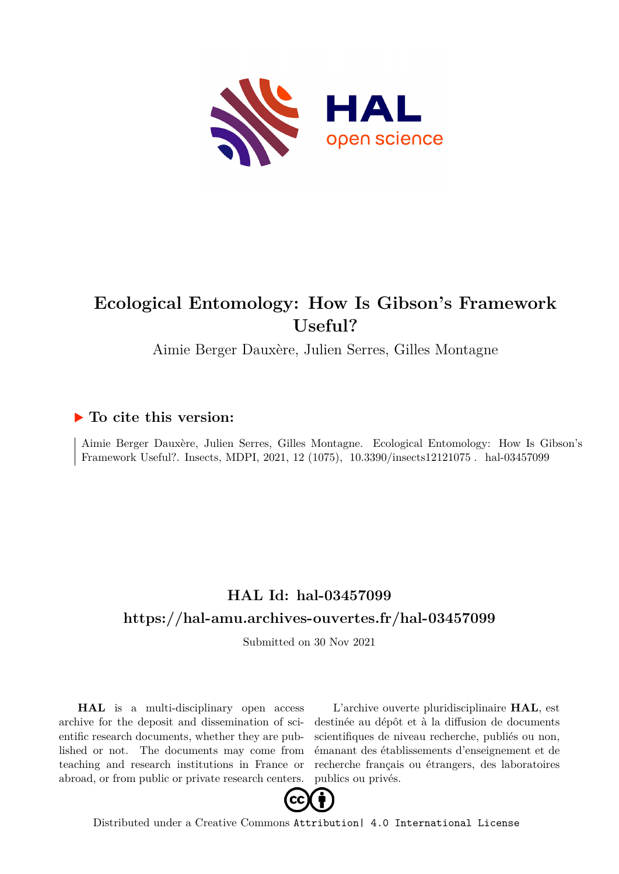

# **Ecological Entomology: How Is Gibson's Framework Useful?**

Aimie Berger Dauxère, Julien Serres, Gilles Montagne

# **To cite this version:**

Aimie Berger Dauxère, Julien Serres, Gilles Montagne. Ecological Entomology: How Is Gibson's Framework Useful?. Insects, MDPI, 2021, 12 (1075), 10.3390/insects12121075. hal-03457099

# **HAL Id: hal-03457099 <https://hal-amu.archives-ouvertes.fr/hal-03457099>**

Submitted on 30 Nov 2021

**HAL** is a multi-disciplinary open access archive for the deposit and dissemination of scientific research documents, whether they are published or not. The documents may come from teaching and research institutions in France or abroad, or from public or private research centers.

L'archive ouverte pluridisciplinaire **HAL**, est destinée au dépôt et à la diffusion de documents scientifiques de niveau recherche, publiés ou non, émanant des établissements d'enseignement et de recherche français ou étrangers, des laboratoires publics ou privés.



Distributed under a Creative Commons [Attribution| 4.0 International License](http://creativecommons.org/licenses/by/4.0/)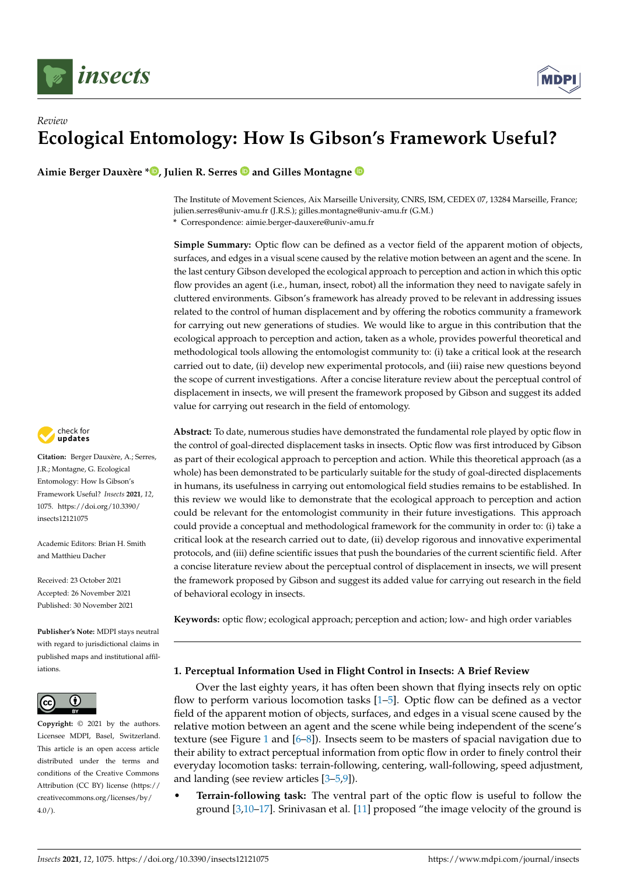



# *Review* **Ecological Entomology: How Is Gibson's Framework Useful?**

**Aimie Berger Dauxère \* [,](https://orcid.org/0000-0001-6133-7596) Julien R. Serres and Gilles Montagne**

The Institute of Movement Sciences, Aix Marseille University, CNRS, ISM, CEDEX 07, 13284 Marseille, France; julien.serres@univ-amu.fr (J.R.S.); gilles.montagne@univ-amu.fr (G.M.)

**\*** Correspondence: aimie.berger-dauxere@univ-amu.fr

**Simple Summary:** Optic flow can be defined as a vector field of the apparent motion of objects, surfaces, and edges in a visual scene caused by the relative motion between an agent and the scene. In the last century Gibson developed the ecological approach to perception and action in which this optic flow provides an agent (i.e., human, insect, robot) all the information they need to navigate safely in cluttered environments. Gibson's framework has already proved to be relevant in addressing issues related to the control of human displacement and by offering the robotics community a framework for carrying out new generations of studies. We would like to argue in this contribution that the ecological approach to perception and action, taken as a whole, provides powerful theoretical and methodological tools allowing the entomologist community to: (i) take a critical look at the research carried out to date, (ii) develop new experimental protocols, and (iii) raise new questions beyond the scope of current investigations. After a concise literature review about the perceptual control of displacement in insects, we will present the framework proposed by Gibson and suggest its added value for carrying out research in the field of entomology.

**Abstract:** To date, numerous studies have demonstrated the fundamental role played by optic flow in the control of goal-directed displacement tasks in insects. Optic flow was first introduced by Gibson as part of their ecological approach to perception and action. While this theoretical approach (as a whole) has been demonstrated to be particularly suitable for the study of goal-directed displacements in humans, its usefulness in carrying out entomological field studies remains to be established. In this review we would like to demonstrate that the ecological approach to perception and action could be relevant for the entomologist community in their future investigations. This approach could provide a conceptual and methodological framework for the community in order to: (i) take a critical look at the research carried out to date, (ii) develop rigorous and innovative experimental protocols, and (iii) define scientific issues that push the boundaries of the current scientific field. After a concise literature review about the perceptual control of displacement in insects, we will present the framework proposed by Gibson and suggest its added value for carrying out research in the field of behavioral ecology in insects.

**Keywords:** optic flow; ecological approach; perception and action; low- and high order variables

# **1. Perceptual Information Used in Flight Control in Insects: A Brief Review**

Over the last eighty years, it has often been shown that flying insects rely on optic flow to perform various locomotion tasks [1–5]. Optic flow can be defined as a vector field of the apparent motion of objects, surfaces, and edges in a visual scene caused by the relative motion between an agent and the scene while being independent of the scene's texture (see Figure 1 and [6–8]). Insects seem to be masters of spacial navigation due to their ability to extract perceptual information from optic flow in order to finely control their everyday locomotion tasks: terrain-following, centering, wall-following, speed adjustment, and landing (see review articles [3–5,9]).

• **Terrain-following task:** The ventral part of the optic flow is useful to follow the ground [3,10–17]. Srinivasan et al. [11] proposed "the image velocity of the ground is



**Citation:** Berger Dauxère, A.; Serres, J.R.; Montagne, G. Ecological Entomology: How Is Gibson's Framework Useful? *Insects* **2021**, *12*, 1075. [https://doi.org/10.3390/](https://doi.org/10.3390/insects12121075) [insects12121075](https://doi.org/10.3390/insects12121075)

Academic Editors: Brian H. Smith and Matthieu Dacher

Received: 23 October 2021 Accepted: 26 November 2021 Published: 30 November 2021

**Publisher's Note:** MDPI stays neutral with regard to jurisdictional claims in published maps and institutional affiliations.



**Copyright:** © 2021 by the authors. Licensee MDPI, Basel, Switzerland. This article is an open access article distributed under the terms and conditions of the Creative Commons Attribution (CC BY) license (https:/[/](https://creativecommons.org/licenses/by/4.0/) [creativecommons.org/licenses/by/](https://creativecommons.org/licenses/by/4.0/) 4.0/).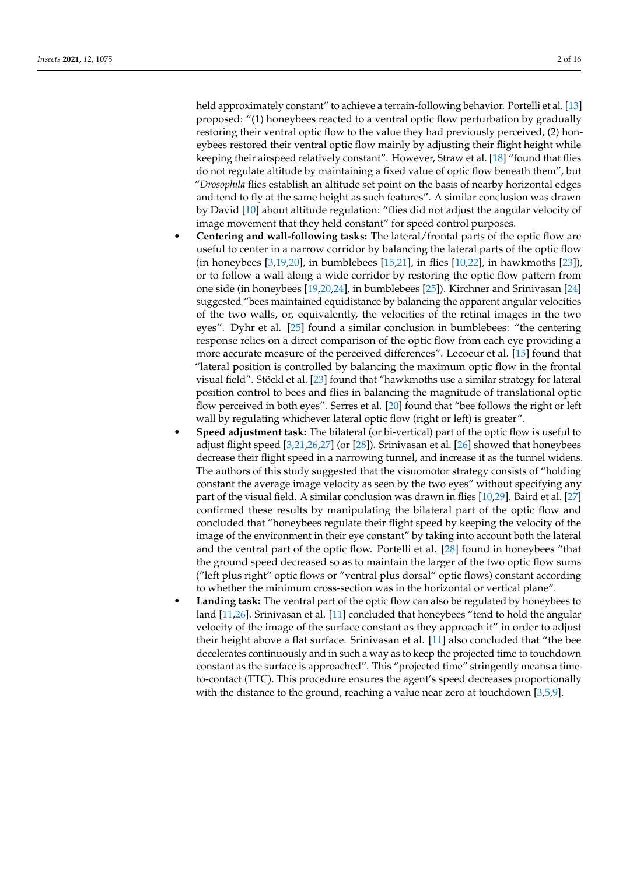held approximately constant" to achieve a terrain-following behavior. Portelli et al. [13] proposed: "(1) honeybees reacted to a ventral optic flow perturbation by gradually restoring their ventral optic flow to the value they had previously perceived, (2) honeybees restored their ventral optic flow mainly by adjusting their flight height while keeping their airspeed relatively constant". However, Straw et al. [18] "found that flies do not regulate altitude by maintaining a fixed value of optic flow beneath them", but "*Drosophila* flies establish an altitude set point on the basis of nearby horizontal edges and tend to fly at the same height as such features". A similar conclusion was drawn by David [10] about altitude regulation: "flies did not adjust the angular velocity of image movement that they held constant" for speed control purposes.

- **Centering and wall-following tasks:** The lateral/frontal parts of the optic flow are useful to center in a narrow corridor by balancing the lateral parts of the optic flow (in honeybees [3,19,20], in bumblebees [15,21], in flies [10,22], in hawkmoths [23]), or to follow a wall along a wide corridor by restoring the optic flow pattern from one side (in honeybees [19,20,24], in bumblebees [25]). Kirchner and Srinivasan [24] suggested "bees maintained equidistance by balancing the apparent angular velocities of the two walls, or, equivalently, the velocities of the retinal images in the two eyes". Dyhr et al. [25] found a similar conclusion in bumblebees: "the centering response relies on a direct comparison of the optic flow from each eye providing a more accurate measure of the perceived differences". Lecoeur et al. [15] found that "lateral position is controlled by balancing the maximum optic flow in the frontal visual field". Stöckl et al. [23] found that "hawkmoths use a similar strategy for lateral position control to bees and flies in balancing the magnitude of translational optic flow perceived in both eyes". Serres et al. [20] found that "bee follows the right or left wall by regulating whichever lateral optic flow (right or left) is greater".
- **Speed adjustment task:** The bilateral (or bi-vertical) part of the optic flow is useful to adjust flight speed [3,21,26,27] (or [28]). Srinivasan et al. [26] showed that honeybees decrease their flight speed in a narrowing tunnel, and increase it as the tunnel widens. The authors of this study suggested that the visuomotor strategy consists of "holding constant the average image velocity as seen by the two eyes" without specifying any part of the visual field. A similar conclusion was drawn in flies [10,29]. Baird et al. [27] confirmed these results by manipulating the bilateral part of the optic flow and concluded that "honeybees regulate their flight speed by keeping the velocity of the image of the environment in their eye constant" by taking into account both the lateral and the ventral part of the optic flow. Portelli et al. [28] found in honeybees "that the ground speed decreased so as to maintain the larger of the two optic flow sums ("left plus right" optic flows or "ventral plus dorsal" optic flows) constant according to whether the minimum cross-section was in the horizontal or vertical plane".
- **Landing task:** The ventral part of the optic flow can also be regulated by honeybees to land [11,26]. Srinivasan et al. [11] concluded that honeybees "tend to hold the angular velocity of the image of the surface constant as they approach it" in order to adjust their height above a flat surface. Srinivasan et al. [11] also concluded that "the bee decelerates continuously and in such a way as to keep the projected time to touchdown constant as the surface is approached". This "projected time" stringently means a timeto-contact (TTC). This procedure ensures the agent's speed decreases proportionally with the distance to the ground, reaching a value near zero at touchdown [3,5,9].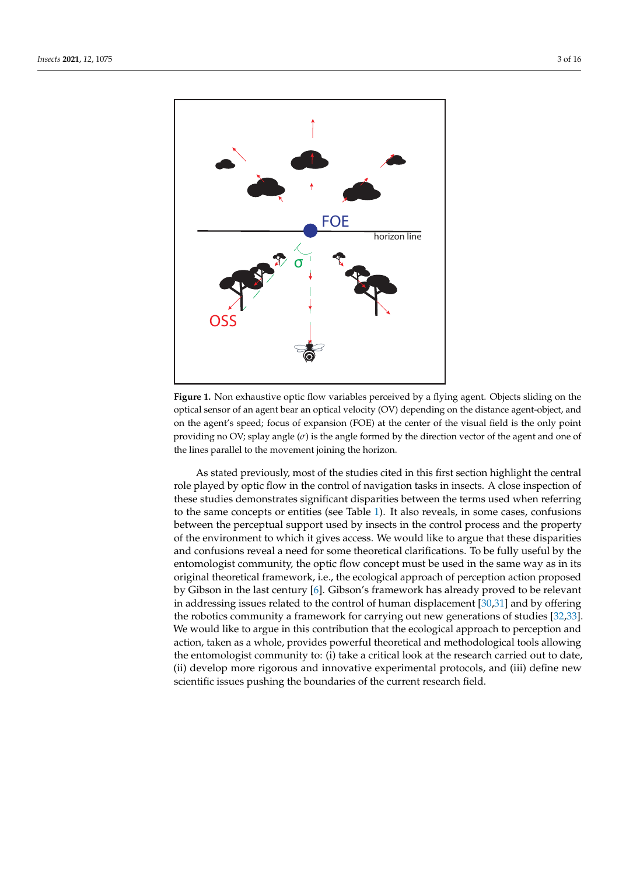

**Figure 1.** Non exhaustive optic flow variables perceived by a flying agent. Objects sliding on the optical sensor of an agent bear an optical velocity (OV) depending on the distance agent-object, and on the agent's speed; focus of expansion (FOE) at the center of the visual field is the only point providing no OV; splay angle  $(\sigma)$  is the angle formed by the direction vector of the agent and one of the lines parallel to the movement joining the horizon.

As stated previously, most of the studies cited in this first section highlight the central role played by optic flow in the control of navigation tasks in insects. A close inspection of these studies demonstrates significant disparities between the terms used when referring to the same concepts or entities (see Table 1). It also reveals, in some cases, confusions between the perceptual support used by insects in the control process and the property of the environment to which it gives access. We would like to argue that these disparities and confusions reveal a need for some theoretical clarifications. To be fully useful by the entomologist community, the optic flow concept must be used in the same way as in its original theoretical framework, i.e., the ecological approach of perception action proposed by Gibson in the last century [6]. Gibson's framework has already proved to be relevant in addressing issues related to the control of human displacement [30,31] and by offering the robotics community a framework for carrying out new generations of studies [32,33]. We would like to argue in this contribution that the ecological approach to perception and action, taken as a whole, provides powerful theoretical and methodological tools allowing the entomologist community to: (i) take a critical look at the research carried out to date, (ii) develop more rigorous and innovative experimental protocols, and (iii) define new scientific issues pushing the boundaries of the current research field.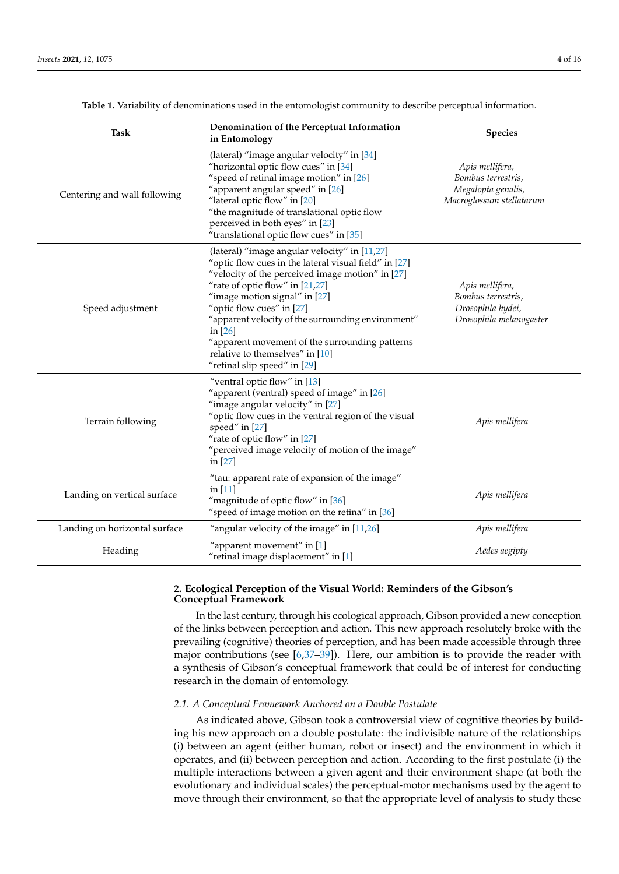| <b>Task</b>                   | Denomination of the Perceptual Information<br>in Entomology                                                                                                                                                                                                                                                                                                                                                                                         | <b>Species</b>                                                                          |
|-------------------------------|-----------------------------------------------------------------------------------------------------------------------------------------------------------------------------------------------------------------------------------------------------------------------------------------------------------------------------------------------------------------------------------------------------------------------------------------------------|-----------------------------------------------------------------------------------------|
| Centering and wall following  | (lateral) "image angular velocity" in [34]<br>"horizontal optic flow cues" in [34]<br>"speed of retinal image motion" in [26]<br>"apparent angular speed" in [26]<br>"lateral optic flow" in [20]<br>"the magnitude of translational optic flow<br>perceived in both eyes" in [23]<br>"translational optic flow cues" in [35]                                                                                                                       | Apis mellifera,<br>Bombus terrestris,<br>Megalopta genalis,<br>Macroglossum stellatarum |
| Speed adjustment              | (lateral) "image angular velocity" in [11,27]<br>"optic flow cues in the lateral visual field" in [27]<br>"velocity of the perceived image motion" in [27]<br>"rate of optic flow" in [21,27]<br>"image motion signal" in [27]<br>"optic flow cues" in [27]<br>"apparent velocity of the surrounding environment"<br>in $[26]$<br>"apparent movement of the surrounding patterns<br>relative to themselves" in [10]<br>"retinal slip speed" in [29] | Apis mellifera,<br>Bombus terrestris,<br>Drosophila hydei,<br>Drosophila melanogaster   |
| Terrain following             | "ventral optic flow" in [13]<br>"apparent (ventral) speed of image" in [26]<br>"image angular velocity" in [27]<br>"optic flow cues in the ventral region of the visual<br>speed" in [27]<br>"rate of optic flow" in [27]<br>"perceived image velocity of motion of the image"<br>in [27]                                                                                                                                                           | Apis mellifera                                                                          |
| Landing on vertical surface   | "tau: apparent rate of expansion of the image"<br>in $[11]$<br>"magnitude of optic flow" in [36]<br>"speed of image motion on the retina" in [36]                                                                                                                                                                                                                                                                                                   | Apis mellifera                                                                          |
| Landing on horizontal surface | "angular velocity of the image" in $[11,26]$                                                                                                                                                                                                                                                                                                                                                                                                        | Apis mellifera                                                                          |
| Heading                       | "apparent movement" in [1]<br>"retinal image displacement" in [1]                                                                                                                                                                                                                                                                                                                                                                                   | Aëdes aegipty                                                                           |

**Table 1.** Variability of denominations used in the entomologist community to describe perceptual information.

# **2. Ecological Perception of the Visual World: Reminders of the Gibson's Conceptual Framework**

In the last century, through his ecological approach, Gibson provided a new conception of the links between perception and action. This new approach resolutely broke with the prevailing (cognitive) theories of perception, and has been made accessible through three major contributions (see  $[6,37-39]$ ). Here, our ambition is to provide the reader with a synthesis of Gibson's conceptual framework that could be of interest for conducting research in the domain of entomology.

#### *2.1. A Conceptual Framework Anchored on a Double Postulate*

As indicated above, Gibson took a controversial view of cognitive theories by building his new approach on a double postulate: the indivisible nature of the relationships (i) between an agent (either human, robot or insect) and the environment in which it operates, and (ii) between perception and action. According to the first postulate (i) the multiple interactions between a given agent and their environment shape (at both the evolutionary and individual scales) the perceptual-motor mechanisms used by the agent to move through their environment, so that the appropriate level of analysis to study these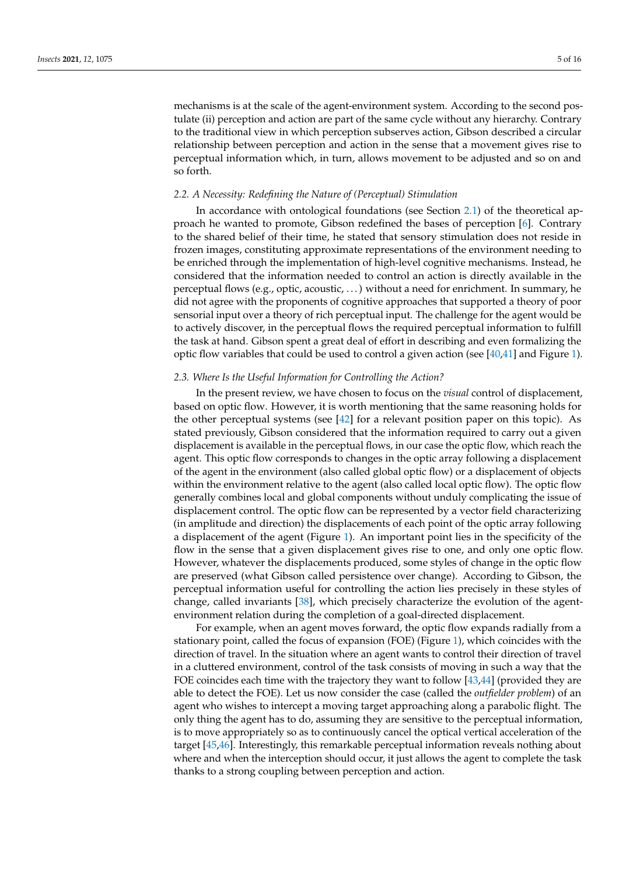mechanisms is at the scale of the agent-environment system. According to the second postulate (ii) perception and action are part of the same cycle without any hierarchy. Contrary to the traditional view in which perception subserves action, Gibson described a circular relationship between perception and action in the sense that a movement gives rise to perceptual information which, in turn, allows movement to be adjusted and so on and so forth.

#### *2.2. A Necessity: Redefining the Nature of (Perceptual) Stimulation*

In accordance with ontological foundations (see Section 2.1) of the theoretical approach he wanted to promote, Gibson redefined the bases of perception [6]. Contrary to the shared belief of their time, he stated that sensory stimulation does not reside in frozen images, constituting approximate representations of the environment needing to be enriched through the implementation of high-level cognitive mechanisms. Instead, he considered that the information needed to control an action is directly available in the perceptual flows (e.g., optic, acoustic, . . . ) without a need for enrichment. In summary, he did not agree with the proponents of cognitive approaches that supported a theory of poor sensorial input over a theory of rich perceptual input. The challenge for the agent would be to actively discover, in the perceptual flows the required perceptual information to fulfill the task at hand. Gibson spent a great deal of effort in describing and even formalizing the optic flow variables that could be used to control a given action (see  $[40,41]$  and Figure 1).

#### *2.3. Where Is the Useful Information for Controlling the Action?*

In the present review, we have chosen to focus on the *visual* control of displacement, based on optic flow. However, it is worth mentioning that the same reasoning holds for the other perceptual systems (see [42] for a relevant position paper on this topic). As stated previously, Gibson considered that the information required to carry out a given displacement is available in the perceptual flows, in our case the optic flow, which reach the agent. This optic flow corresponds to changes in the optic array following a displacement of the agent in the environment (also called global optic flow) or a displacement of objects within the environment relative to the agent (also called local optic flow). The optic flow generally combines local and global components without unduly complicating the issue of displacement control. The optic flow can be represented by a vector field characterizing (in amplitude and direction) the displacements of each point of the optic array following a displacement of the agent (Figure 1). An important point lies in the specificity of the flow in the sense that a given displacement gives rise to one, and only one optic flow. However, whatever the displacements produced, some styles of change in the optic flow are preserved (what Gibson called persistence over change). According to Gibson, the perceptual information useful for controlling the action lies precisely in these styles of change, called invariants [38], which precisely characterize the evolution of the agentenvironment relation during the completion of a goal-directed displacement.

For example, when an agent moves forward, the optic flow expands radially from a stationary point, called the focus of expansion (FOE) (Figure 1), which coincides with the direction of travel. In the situation where an agent wants to control their direction of travel in a cluttered environment, control of the task consists of moving in such a way that the FOE coincides each time with the trajectory they want to follow [43,44] (provided they are able to detect the FOE). Let us now consider the case (called the *outfielder problem*) of an agent who wishes to intercept a moving target approaching along a parabolic flight. The only thing the agent has to do, assuming they are sensitive to the perceptual information, is to move appropriately so as to continuously cancel the optical vertical acceleration of the target [45,46]. Interestingly, this remarkable perceptual information reveals nothing about where and when the interception should occur, it just allows the agent to complete the task thanks to a strong coupling between perception and action.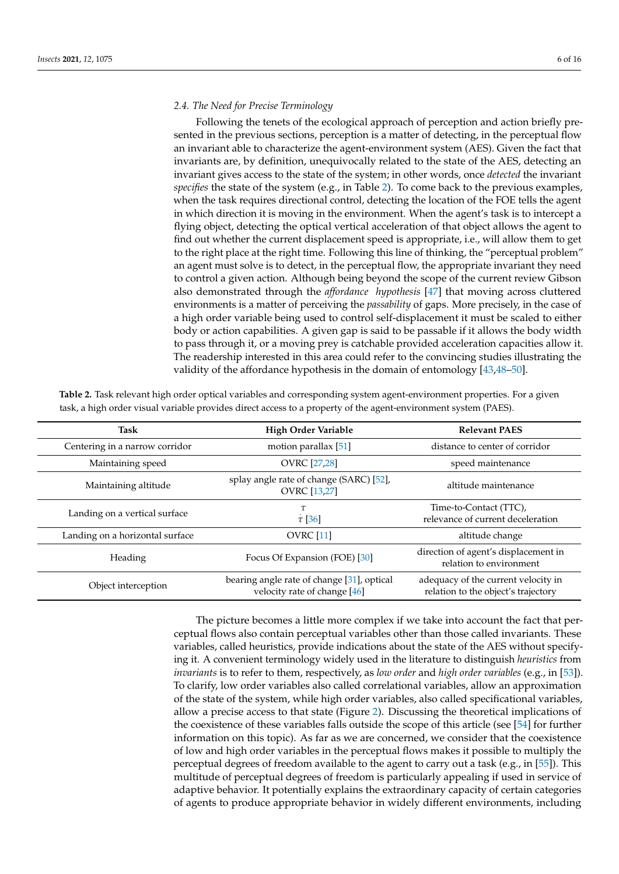#### *2.4. The Need for Precise Terminology*

Following the tenets of the ecological approach of perception and action briefly presented in the previous sections, perception is a matter of detecting, in the perceptual flow an invariant able to characterize the agent-environment system (AES). Given the fact that invariants are, by definition, unequivocally related to the state of the AES, detecting an invariant gives access to the state of the system; in other words, once *detected* the invariant *specifies* the state of the system (e.g., in Table 2). To come back to the previous examples, when the task requires directional control, detecting the location of the FOE tells the agent in which direction it is moving in the environment. When the agent's task is to intercept a flying object, detecting the optical vertical acceleration of that object allows the agent to find out whether the current displacement speed is appropriate, i.e., will allow them to get to the right place at the right time. Following this line of thinking, the "perceptual problem" an agent must solve is to detect, in the perceptual flow, the appropriate invariant they need to control a given action. Although being beyond the scope of the current review Gibson also demonstrated through the *affordance hypothesis* [47] that moving across cluttered environments is a matter of perceiving the *passability* of gaps. More precisely, in the case of a high order variable being used to control self-displacement it must be scaled to either body or action capabilities. A given gap is said to be passable if it allows the body width to pass through it, or a moving prey is catchable provided acceleration capacities allow it. The readership interested in this area could refer to the convincing studies illustrating the validity of the affordance hypothesis in the domain of entomology [43,48–50].

| <b>Task</b>                     | <b>High Order Variable</b>                                                 | <b>Relevant PAES</b>                                                       |
|---------------------------------|----------------------------------------------------------------------------|----------------------------------------------------------------------------|
| Centering in a narrow corridor  | motion parallax [51]                                                       | distance to center of corridor                                             |
| Maintaining speed               | <b>OVRC</b> [27,28]                                                        | speed maintenance                                                          |
| Maintaining altitude            | splay angle rate of change (SARC) [52],<br><b>OVRC</b> [13,27]             | altitude maintenance                                                       |
| Landing on a vertical surface   | $\tau$ [36]                                                                | Time-to-Contact (TTC),<br>relevance of current deceleration                |
| Landing on a horizontal surface | <b>OVRC</b> [11]                                                           | altitude change                                                            |
| Heading                         | Focus Of Expansion (FOE) [30]                                              | direction of agent's displacement in<br>relation to environment            |
| Object interception             | bearing angle rate of change [31], optical<br>velocity rate of change [46] | adequacy of the current velocity in<br>relation to the object's trajectory |

**Table 2.** Task relevant high order optical variables and corresponding system agent-environment properties. For a given task, a high order visual variable provides direct access to a property of the agent-environment system (PAES).

> The picture becomes a little more complex if we take into account the fact that perceptual flows also contain perceptual variables other than those called invariants. These variables, called heuristics, provide indications about the state of the AES without specifying it. A convenient terminology widely used in the literature to distinguish *heuristics* from *invariants* is to refer to them, respectively, as *low order* and *high order variables* (e.g., in [53]). To clarify, low order variables also called correlational variables, allow an approximation of the state of the system, while high order variables, also called specificational variables, allow a precise access to that state (Figure 2). Discussing the theoretical implications of the coexistence of these variables falls outside the scope of this article (see [54] for further information on this topic). As far as we are concerned, we consider that the coexistence of low and high order variables in the perceptual flows makes it possible to multiply the perceptual degrees of freedom available to the agent to carry out a task (e.g., in [55]). This multitude of perceptual degrees of freedom is particularly appealing if used in service of adaptive behavior. It potentially explains the extraordinary capacity of certain categories of agents to produce appropriate behavior in widely different environments, including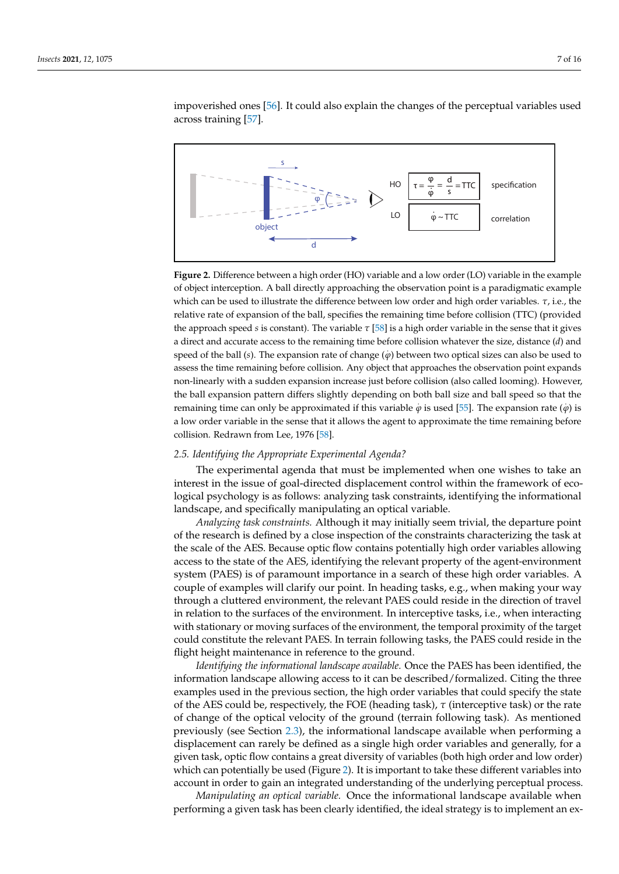impoverished ones [56]. It could also explain the changes of the perceptual variables used across training [57].



**Figure 2.** Difference between a high order (HO) variable and a low order (LO) variable in the example of object interception. A ball directly approaching the observation point is a paradigmatic example which can be used to illustrate the difference between low order and high order variables. *τ*, i.e., the relative rate of expansion of the ball, specifies the remaining time before collision (TTC) (provided the approach speed *s* is constant). The variable *τ* [58] is a high order variable in the sense that it gives a direct and accurate access to the remaining time before collision whatever the size, distance (*d*) and speed of the ball (*s*). The expansion rate of change ( $\varphi$ ) between two optical sizes can also be used to assess the time remaining before collision. Any object that approaches the observation point expands non-linearly with a sudden expansion increase just before collision (also called looming). However, the ball expansion pattern differs slightly depending on both ball size and ball speed so that the remaining time can only be approximated if this variable  $\dot{\varphi}$  is used [55]. The expansion rate ( $\dot{\varphi}$ ) is a low order variable in the sense that it allows the agent to approximate the time remaining before collision. Redrawn from Lee, 1976 [58].

#### *2.5. Identifying the Appropriate Experimental Agenda?*

The experimental agenda that must be implemented when one wishes to take an interest in the issue of goal-directed displacement control within the framework of ecological psychology is as follows: analyzing task constraints, identifying the informational landscape, and specifically manipulating an optical variable.

*Analyzing task constraints.* Although it may initially seem trivial, the departure point of the research is defined by a close inspection of the constraints characterizing the task at the scale of the AES. Because optic flow contains potentially high order variables allowing access to the state of the AES, identifying the relevant property of the agent-environment system (PAES) is of paramount importance in a search of these high order variables. A couple of examples will clarify our point. In heading tasks, e.g., when making your way through a cluttered environment, the relevant PAES could reside in the direction of travel in relation to the surfaces of the environment. In interceptive tasks, i.e., when interacting with stationary or moving surfaces of the environment, the temporal proximity of the target could constitute the relevant PAES. In terrain following tasks, the PAES could reside in the flight height maintenance in reference to the ground.

*Identifying the informational landscape available.* Once the PAES has been identified, the information landscape allowing access to it can be described/formalized. Citing the three examples used in the previous section, the high order variables that could specify the state of the AES could be, respectively, the FOE (heading task), *τ* (interceptive task) or the rate of change of the optical velocity of the ground (terrain following task). As mentioned previously (see Section 2.3), the informational landscape available when performing a displacement can rarely be defined as a single high order variables and generally, for a given task, optic flow contains a great diversity of variables (both high order and low order) which can potentially be used (Figure 2). It is important to take these different variables into account in order to gain an integrated understanding of the underlying perceptual process.

*Manipulating an optical variable.* Once the informational landscape available when performing a given task has been clearly identified, the ideal strategy is to implement an ex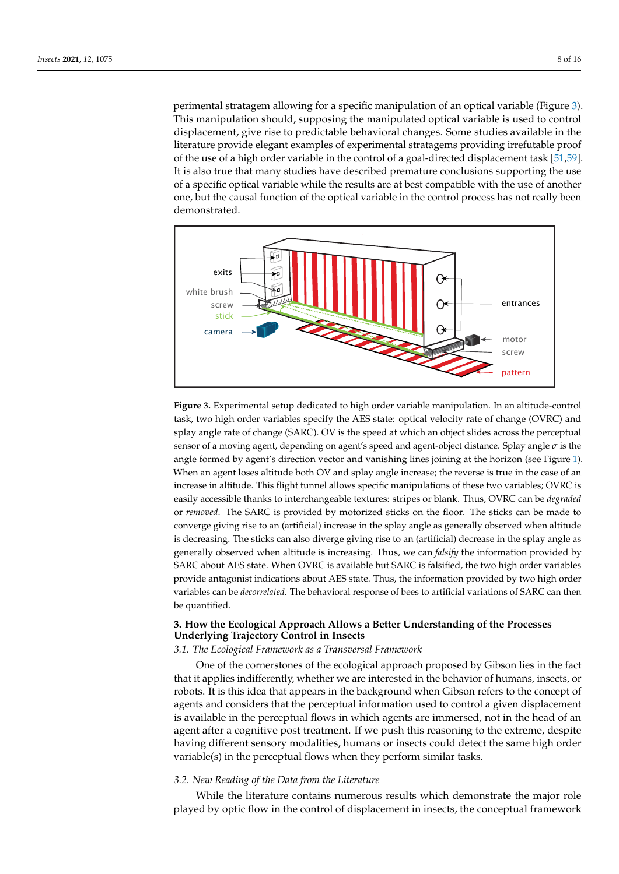perimental stratagem allowing for a specific manipulation of an optical variable (Figure 3). This manipulation should, supposing the manipulated optical variable is used to control displacement, give rise to predictable behavioral changes. Some studies available in the literature provide elegant examples of experimental stratagems providing irrefutable proof of the use of a high order variable in the control of a goal-directed displacement task [51,59]. It is also true that many studies have described premature conclusions supporting the use of a specific optical variable while the results are at best compatible with the use of another one, but the causal function of the optical variable in the control process has not really been demonstrated.



**Figure 3.** Experimental setup dedicated to high order variable manipulation. In an altitude-control task, two high order variables specify the AES state: optical velocity rate of change (OVRC) and splay angle rate of change (SARC). OV is the speed at which an object slides across the perceptual sensor of a moving agent, depending on agent's speed and agent-object distance. Splay angle *σ* is the angle formed by agent's direction vector and vanishing lines joining at the horizon (see Figure 1). When an agent loses altitude both OV and splay angle increase; the reverse is true in the case of an increase in altitude. This flight tunnel allows specific manipulations of these two variables; OVRC is easily accessible thanks to interchangeable textures: stripes or blank. Thus, OVRC can be *degraded* or *removed*. The SARC is provided by motorized sticks on the floor. The sticks can be made to converge giving rise to an (artificial) increase in the splay angle as generally observed when altitude is decreasing. The sticks can also diverge giving rise to an (artificial) decrease in the splay angle as generally observed when altitude is increasing. Thus, we can *falsify* the information provided by SARC about AES state. When OVRC is available but SARC is falsified, the two high order variables provide antagonist indications about AES state. Thus, the information provided by two high order variables can be *decorrelated*. The behavioral response of bees to artificial variations of SARC can then be quantified.

# **3. How the Ecological Approach Allows a Better Understanding of the Processes Underlying Trajectory Control in Insects**

#### *3.1. The Ecological Framework as a Transversal Framework*

One of the cornerstones of the ecological approach proposed by Gibson lies in the fact that it applies indifferently, whether we are interested in the behavior of humans, insects, or robots. It is this idea that appears in the background when Gibson refers to the concept of agents and considers that the perceptual information used to control a given displacement is available in the perceptual flows in which agents are immersed, not in the head of an agent after a cognitive post treatment. If we push this reasoning to the extreme, despite having different sensory modalities, humans or insects could detect the same high order variable(s) in the perceptual flows when they perform similar tasks.

## *3.2. New Reading of the Data from the Literature*

While the literature contains numerous results which demonstrate the major role played by optic flow in the control of displacement in insects, the conceptual framework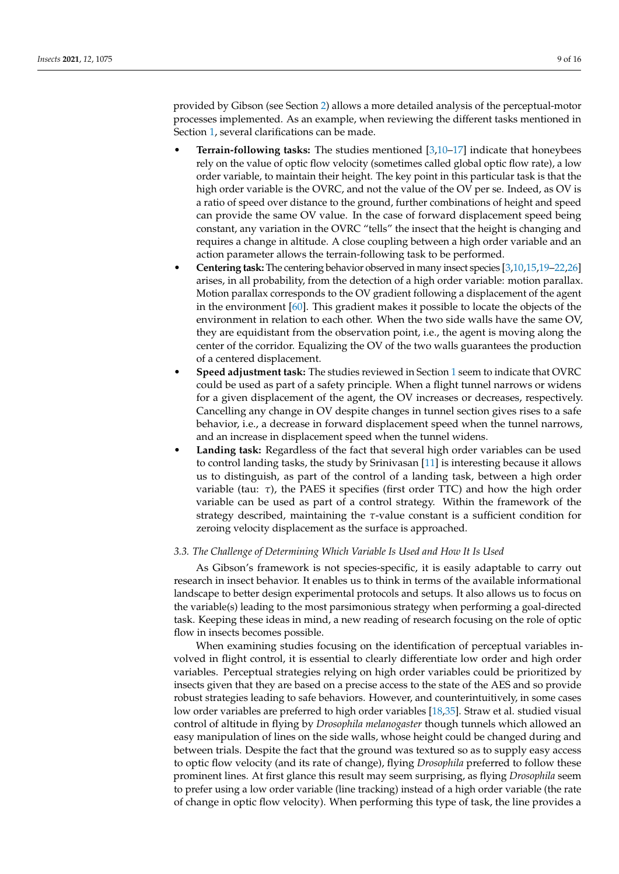provided by Gibson (see Section 2) allows a more detailed analysis of the perceptual-motor processes implemented. As an example, when reviewing the different tasks mentioned in Section 1, several clarifications can be made.

- **Terrain-following tasks:** The studies mentioned [3,10–17] indicate that honeybees rely on the value of optic flow velocity (sometimes called global optic flow rate), a low order variable, to maintain their height. The key point in this particular task is that the high order variable is the OVRC, and not the value of the OV per se. Indeed, as OV is a ratio of speed over distance to the ground, further combinations of height and speed can provide the same OV value. In the case of forward displacement speed being constant, any variation in the OVRC "tells" the insect that the height is changing and requires a change in altitude. A close coupling between a high order variable and an action parameter allows the terrain-following task to be performed.
- **Centering task:** The centering behavior observed in many insect species [3,10,15,19–22,26] arises, in all probability, from the detection of a high order variable: motion parallax. Motion parallax corresponds to the OV gradient following a displacement of the agent in the environment [60]. This gradient makes it possible to locate the objects of the environment in relation to each other. When the two side walls have the same OV, they are equidistant from the observation point, i.e., the agent is moving along the center of the corridor. Equalizing the OV of the two walls guarantees the production of a centered displacement.
- **Speed adjustment task:** The studies reviewed in Section 1 seem to indicate that OVRC could be used as part of a safety principle. When a flight tunnel narrows or widens for a given displacement of the agent, the OV increases or decreases, respectively. Cancelling any change in OV despite changes in tunnel section gives rises to a safe behavior, i.e., a decrease in forward displacement speed when the tunnel narrows, and an increase in displacement speed when the tunnel widens.
- **Landing task:** Regardless of the fact that several high order variables can be used to control landing tasks, the study by Srinivasan [11] is interesting because it allows us to distinguish, as part of the control of a landing task, between a high order variable (tau: *τ*), the PAES it specifies (first order TTC) and how the high order variable can be used as part of a control strategy. Within the framework of the strategy described, maintaining the *τ*-value constant is a sufficient condition for zeroing velocity displacement as the surface is approached.

## *3.3. The Challenge of Determining Which Variable Is Used and How It Is Used*

As Gibson's framework is not species-specific, it is easily adaptable to carry out research in insect behavior. It enables us to think in terms of the available informational landscape to better design experimental protocols and setups. It also allows us to focus on the variable(s) leading to the most parsimonious strategy when performing a goal-directed task. Keeping these ideas in mind, a new reading of research focusing on the role of optic flow in insects becomes possible.

When examining studies focusing on the identification of perceptual variables involved in flight control, it is essential to clearly differentiate low order and high order variables. Perceptual strategies relying on high order variables could be prioritized by insects given that they are based on a precise access to the state of the AES and so provide robust strategies leading to safe behaviors. However, and counterintuitively, in some cases low order variables are preferred to high order variables [18,35]. Straw et al. studied visual control of altitude in flying by *Drosophila melanogaster* though tunnels which allowed an easy manipulation of lines on the side walls, whose height could be changed during and between trials. Despite the fact that the ground was textured so as to supply easy access to optic flow velocity (and its rate of change), flying *Drosophila* preferred to follow these prominent lines. At first glance this result may seem surprising, as flying *Drosophila* seem to prefer using a low order variable (line tracking) instead of a high order variable (the rate of change in optic flow velocity). When performing this type of task, the line provides a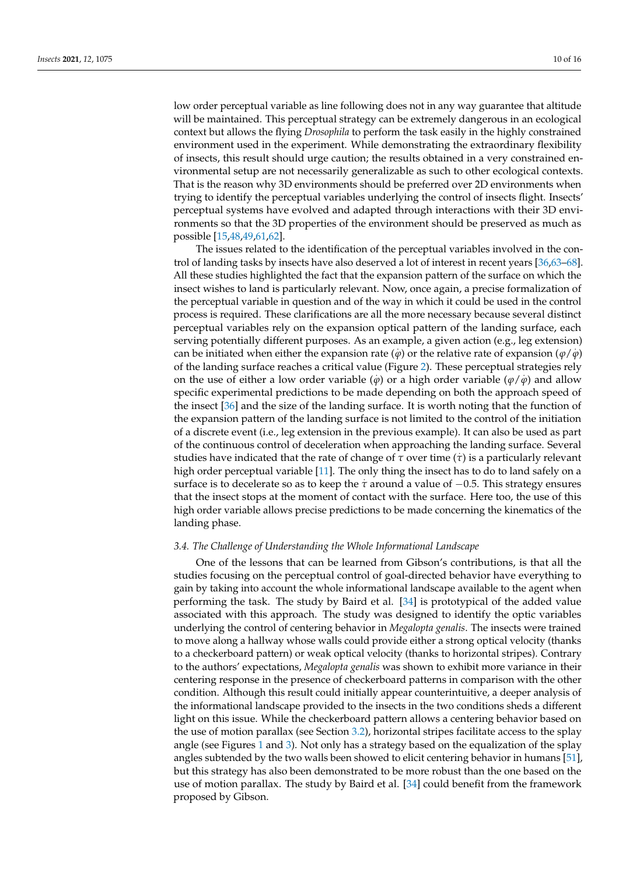low order perceptual variable as line following does not in any way guarantee that altitude will be maintained. This perceptual strategy can be extremely dangerous in an ecological context but allows the flying *Drosophila* to perform the task easily in the highly constrained environment used in the experiment. While demonstrating the extraordinary flexibility of insects, this result should urge caution; the results obtained in a very constrained environmental setup are not necessarily generalizable as such to other ecological contexts. That is the reason why 3D environments should be preferred over 2D environments when trying to identify the perceptual variables underlying the control of insects flight. Insects' perceptual systems have evolved and adapted through interactions with their 3D environments so that the 3D properties of the environment should be preserved as much as possible [15,48,49,61,62].

The issues related to the identification of the perceptual variables involved in the control of landing tasks by insects have also deserved a lot of interest in recent years [36,63–68]. All these studies highlighted the fact that the expansion pattern of the surface on which the insect wishes to land is particularly relevant. Now, once again, a precise formalization of the perceptual variable in question and of the way in which it could be used in the control process is required. These clarifications are all the more necessary because several distinct perceptual variables rely on the expansion optical pattern of the landing surface, each serving potentially different purposes. As an example, a given action (e.g., leg extension) can be initiated when either the expansion rate ( $\varphi$ ) or the relative rate of expansion ( $\varphi$ / $\varphi$ ) of the landing surface reaches a critical value (Figure 2). These perceptual strategies rely on the use of either a low order variable  $(\varphi)$  or a high order variable  $(\varphi / \varphi)$  and allow specific experimental predictions to be made depending on both the approach speed of the insect [36] and the size of the landing surface. It is worth noting that the function of the expansion pattern of the landing surface is not limited to the control of the initiation of a discrete event (i.e., leg extension in the previous example). It can also be used as part of the continuous control of deceleration when approaching the landing surface. Several studies have indicated that the rate of change of *τ* over time (*τ*) is a particularly relevant high order perceptual variable [11]. The only thing the insect has to do to land safely on a surface is to decelerate so as to keep the  $\tau$  around a value of  $-0.5$ . This strategy ensures that the insect stops at the moment of contact with the surface. Here too, the use of this high order variable allows precise predictions to be made concerning the kinematics of the landing phase.

#### *3.4. The Challenge of Understanding the Whole Informational Landscape*

One of the lessons that can be learned from Gibson's contributions, is that all the studies focusing on the perceptual control of goal-directed behavior have everything to gain by taking into account the whole informational landscape available to the agent when performing the task. The study by Baird et al. [34] is prototypical of the added value associated with this approach. The study was designed to identify the optic variables underlying the control of centering behavior in *Megalopta genalis*. The insects were trained to move along a hallway whose walls could provide either a strong optical velocity (thanks to a checkerboard pattern) or weak optical velocity (thanks to horizontal stripes). Contrary to the authors' expectations, *Megalopta genalis* was shown to exhibit more variance in their centering response in the presence of checkerboard patterns in comparison with the other condition. Although this result could initially appear counterintuitive, a deeper analysis of the informational landscape provided to the insects in the two conditions sheds a different light on this issue. While the checkerboard pattern allows a centering behavior based on the use of motion parallax (see Section 3.2), horizontal stripes facilitate access to the splay angle (see Figures 1 and 3). Not only has a strategy based on the equalization of the splay angles subtended by the two walls been showed to elicit centering behavior in humans [51], but this strategy has also been demonstrated to be more robust than the one based on the use of motion parallax. The study by Baird et al. [34] could benefit from the framework proposed by Gibson.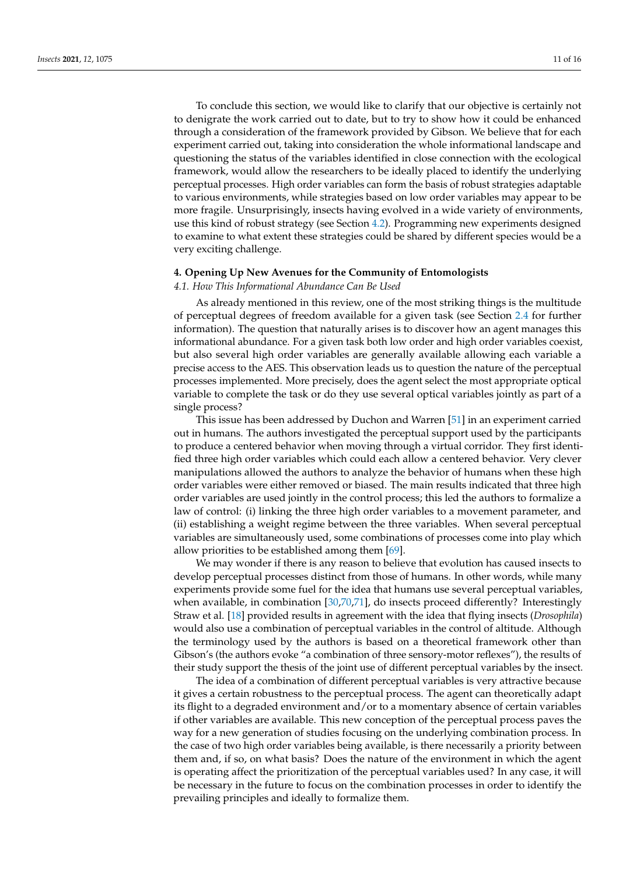To conclude this section, we would like to clarify that our objective is certainly not to denigrate the work carried out to date, but to try to show how it could be enhanced through a consideration of the framework provided by Gibson. We believe that for each experiment carried out, taking into consideration the whole informational landscape and questioning the status of the variables identified in close connection with the ecological framework, would allow the researchers to be ideally placed to identify the underlying perceptual processes. High order variables can form the basis of robust strategies adaptable to various environments, while strategies based on low order variables may appear to be more fragile. Unsurprisingly, insects having evolved in a wide variety of environments, use this kind of robust strategy (see Section 4.2). Programming new experiments designed to examine to what extent these strategies could be shared by different species would be a very exciting challenge.

#### **4. Opening Up New Avenues for the Community of Entomologists**

#### *4.1. How This Informational Abundance Can Be Used*

As already mentioned in this review, one of the most striking things is the multitude of perceptual degrees of freedom available for a given task (see Section 2.4 for further information). The question that naturally arises is to discover how an agent manages this informational abundance. For a given task both low order and high order variables coexist, but also several high order variables are generally available allowing each variable a precise access to the AES. This observation leads us to question the nature of the perceptual processes implemented. More precisely, does the agent select the most appropriate optical variable to complete the task or do they use several optical variables jointly as part of a single process?

This issue has been addressed by Duchon and Warren [51] in an experiment carried out in humans. The authors investigated the perceptual support used by the participants to produce a centered behavior when moving through a virtual corridor. They first identified three high order variables which could each allow a centered behavior. Very clever manipulations allowed the authors to analyze the behavior of humans when these high order variables were either removed or biased. The main results indicated that three high order variables are used jointly in the control process; this led the authors to formalize a law of control: (i) linking the three high order variables to a movement parameter, and (ii) establishing a weight regime between the three variables. When several perceptual variables are simultaneously used, some combinations of processes come into play which allow priorities to be established among them [69].

We may wonder if there is any reason to believe that evolution has caused insects to develop perceptual processes distinct from those of humans. In other words, while many experiments provide some fuel for the idea that humans use several perceptual variables, when available, in combination [30,70,71], do insects proceed differently? Interestingly Straw et al. [18] provided results in agreement with the idea that flying insects (*Drosophila*) would also use a combination of perceptual variables in the control of altitude. Although the terminology used by the authors is based on a theoretical framework other than Gibson's (the authors evoke "a combination of three sensory-motor reflexes"), the results of their study support the thesis of the joint use of different perceptual variables by the insect.

The idea of a combination of different perceptual variables is very attractive because it gives a certain robustness to the perceptual process. The agent can theoretically adapt its flight to a degraded environment and/or to a momentary absence of certain variables if other variables are available. This new conception of the perceptual process paves the way for a new generation of studies focusing on the underlying combination process. In the case of two high order variables being available, is there necessarily a priority between them and, if so, on what basis? Does the nature of the environment in which the agent is operating affect the prioritization of the perceptual variables used? In any case, it will be necessary in the future to focus on the combination processes in order to identify the prevailing principles and ideally to formalize them.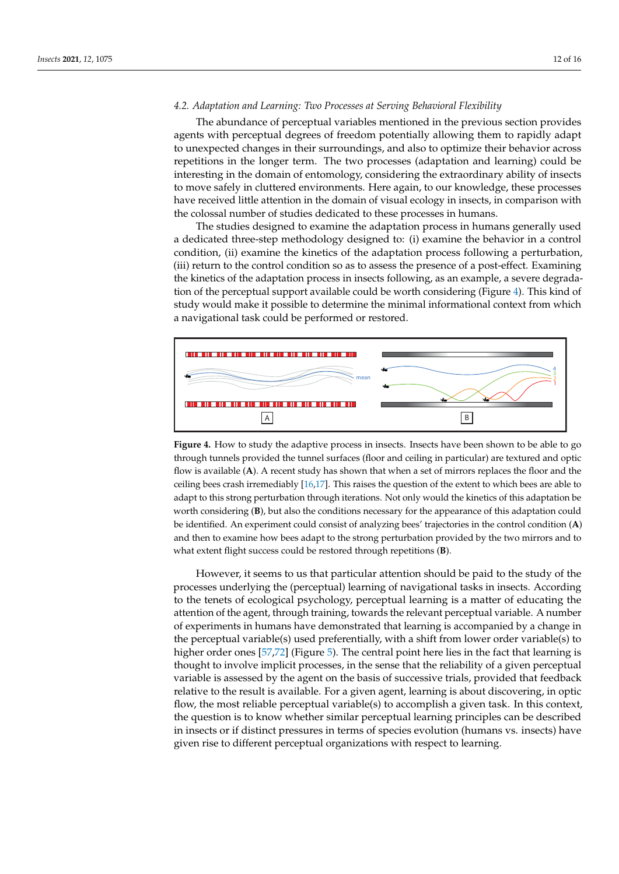### *4.2. Adaptation and Learning: Two Processes at Serving Behavioral Flexibility*

The abundance of perceptual variables mentioned in the previous section provides agents with perceptual degrees of freedom potentially allowing them to rapidly adapt to unexpected changes in their surroundings, and also to optimize their behavior across repetitions in the longer term. The two processes (adaptation and learning) could be interesting in the domain of entomology, considering the extraordinary ability of insects to move safely in cluttered environments. Here again, to our knowledge, these processes have received little attention in the domain of visual ecology in insects, in comparison with the colossal number of studies dedicated to these processes in humans.

The studies designed to examine the adaptation process in humans generally used a dedicated three-step methodology designed to: (i) examine the behavior in a control condition, (ii) examine the kinetics of the adaptation process following a perturbation, (iii) return to the control condition so as to assess the presence of a post-effect. Examining the kinetics of the adaptation process in insects following, as an example, a severe degradation of the perceptual support available could be worth considering (Figure 4). This kind of study would make it possible to determine the minimal informational context from which a navigational task could be performed or restored.



**Figure 4.** How to study the adaptive process in insects. Insects have been shown to be able to go through tunnels provided the tunnel surfaces (floor and ceiling in particular) are textured and optic flow is available (**A**). A recent study has shown that when a set of mirrors replaces the floor and the ceiling bees crash irremediably [16,17]. This raises the question of the extent to which bees are able to adapt to this strong perturbation through iterations. Not only would the kinetics of this adaptation be worth considering (**B**), but also the conditions necessary for the appearance of this adaptation could be identified. An experiment could consist of analyzing bees' trajectories in the control condition (**A**) and then to examine how bees adapt to the strong perturbation provided by the two mirrors and to what extent flight success could be restored through repetitions (**B**).

However, it seems to us that particular attention should be paid to the study of the processes underlying the (perceptual) learning of navigational tasks in insects. According to the tenets of ecological psychology, perceptual learning is a matter of educating the attention of the agent, through training, towards the relevant perceptual variable. A number of experiments in humans have demonstrated that learning is accompanied by a change in the perceptual variable(s) used preferentially, with a shift from lower order variable(s) to higher order ones [57,72] (Figure 5). The central point here lies in the fact that learning is thought to involve implicit processes, in the sense that the reliability of a given perceptual variable is assessed by the agent on the basis of successive trials, provided that feedback relative to the result is available. For a given agent, learning is about discovering, in optic flow, the most reliable perceptual variable(s) to accomplish a given task. In this context, the question is to know whether similar perceptual learning principles can be described in insects or if distinct pressures in terms of species evolution (humans vs. insects) have given rise to different perceptual organizations with respect to learning.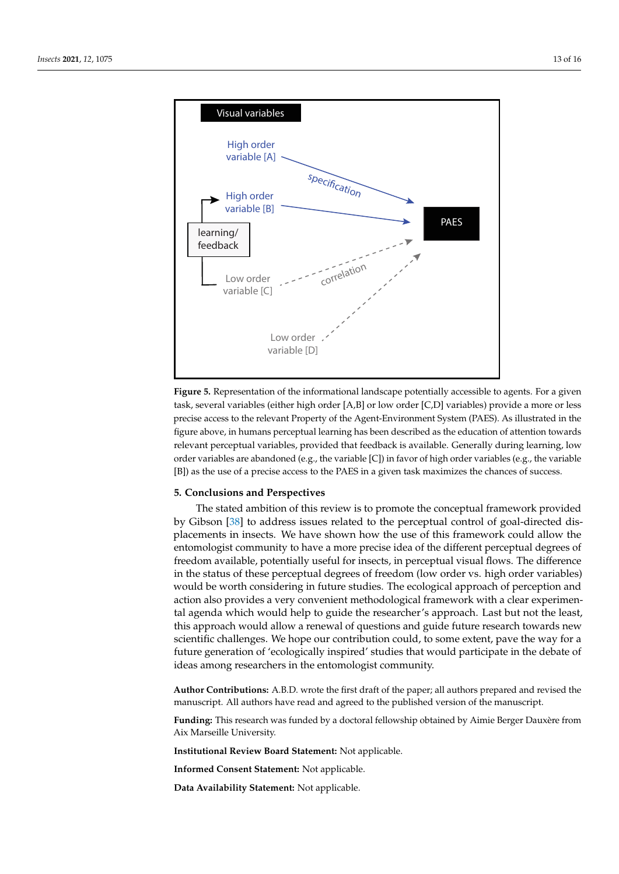

**Figure 5.** Representation of the informational landscape potentially accessible to agents. For a given task, several variables (either high order [A,B] or low order [C,D] variables) provide a more or less precise access to the relevant Property of the Agent-Environment System (PAES). As illustrated in the figure above, in humans perceptual learning has been described as the education of attention towards relevant perceptual variables, provided that feedback is available. Generally during learning, low order variables are abandoned (e.g., the variable  $[C]$ ) in favor of high order variables (e.g., the variable [B]) as the use of a precise access to the PAES in a given task maximizes the chances of success.

## **5. Conclusions and Perspectives**

The stated ambition of this review is to promote the conceptual framework provided by Gibson [38] to address issues related to the perceptual control of goal-directed displacements in insects. We have shown how the use of this framework could allow the entomologist community to have a more precise idea of the different perceptual degrees of freedom available, potentially useful for insects, in perceptual visual flows. The difference in the status of these perceptual degrees of freedom (low order vs. high order variables) would be worth considering in future studies. The ecological approach of perception and action also provides a very convenient methodological framework with a clear experimental agenda which would help to guide the researcher's approach. Last but not the least, this approach would allow a renewal of questions and guide future research towards new scientific challenges. We hope our contribution could, to some extent, pave the way for a future generation of 'ecologically inspired' studies that would participate in the debate of ideas among researchers in the entomologist community.

**Author Contributions:** A.B.D. wrote the first draft of the paper; all authors prepared and revised the manuscript. All authors have read and agreed to the published version of the manuscript.

**Funding:** This research was funded by a doctoral fellowship obtained by Aimie Berger Dauxère from Aix Marseille University.

**Institutional Review Board Statement:** Not applicable.

**Informed Consent Statement:** Not applicable.

**Data Availability Statement:** Not applicable.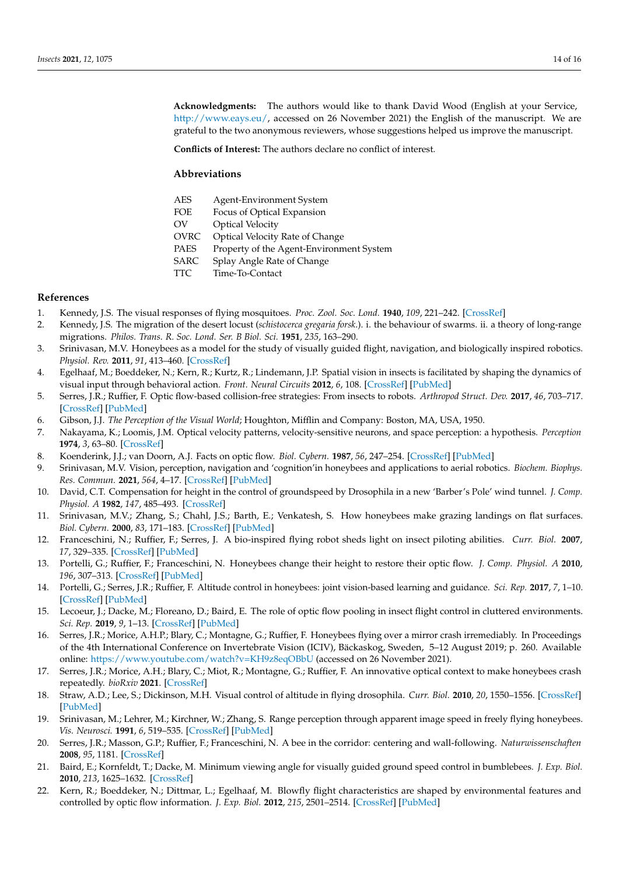**Acknowledgments:** The authors would like to thank David Wood (English at your Service, [http://www.eays.eu/,](http://www.eays.eu/) accessed on 26 November 2021) the English of the manuscript. We are grateful to the two anonymous reviewers, whose suggestions helped us improve the manuscript.

**Conflicts of Interest:** The authors declare no conflict of interest.

#### **Abbreviations**

| AES  | Agent-Environment System                 |
|------|------------------------------------------|
| FOE  | Focus of Optical Expansion               |
| OV   | <b>Optical Velocity</b>                  |
| OVRC | Optical Velocity Rate of Change          |
| PAES | Property of the Agent-Environment System |
| SARC | Splay Angle Rate of Change               |
| TTC  | Time-To-Contact                          |
|      |                                          |

#### **References**

- 1. Kennedy, J.S. The visual responses of flying mosquitoes. *Proc. Zool. Soc. Lond.* **1940**, *109*, 221–242. [\[CrossRef\]](http://doi.org/10.1111/j.1096-3642.1940.tb00831.x)
- 2. Kennedy, J.S. The migration of the desert locust (*schistocerca gregaria forsk*.). i. the behaviour of swarms. ii. a theory of long-range migrations. *Philos. Trans. R. Soc. Lond. Ser. B Biol. Sci.* **1951**, *235*, 163–290.
- 3. Srinivasan, M.V. Honeybees as a model for the study of visually guided flight, navigation, and biologically inspired robotics. *Physiol. Rev.* **2011**, *91*, 413–460. [\[CrossRef\]](http://dx.doi.org/10.1152/physrev.00005.2010)
- 4. Egelhaaf, M.; Boeddeker, N.; Kern, R.; Kurtz, R.; Lindemann, J.P. Spatial vision in insects is facilitated by shaping the dynamics of visual input through behavioral action. *Front. Neural Circuits* **2012**, *6*, 108. [\[CrossRef\]](http://dx.doi.org/10.3389/fncir.2012.00108) [\[PubMed\]](http://www.ncbi.nlm.nih.gov/pubmed/23269913)
- 5. Serres, J.R.; Ruffier, F. Optic flow-based collision-free strategies: From insects to robots. *Arthropod Struct. Dev.* **2017**, *46*, 703–717. [\[CrossRef\]](http://dx.doi.org/10.1016/j.asd.2017.06.003) [\[PubMed\]](http://www.ncbi.nlm.nih.gov/pubmed/28655645)
- 6. Gibson, J.J. *The Perception of the Visual World*; Houghton, Mifflin and Company: Boston, MA, USA, 1950.
- 7. Nakayama, K.; Loomis, J.M. Optical velocity patterns, velocity-sensitive neurons, and space perception: a hypothesis. *Perception* **1974**, *3*, 63–80. [\[CrossRef\]](http://dx.doi.org/10.1068/p030063)
- 8. Koenderink, J.J.; van Doorn, A.J. Facts on optic flow. *Biol. Cybern.* **1987**, *56*, 247–254. [\[CrossRef\]](http://dx.doi.org/10.1007/BF00365219) [\[PubMed\]](http://www.ncbi.nlm.nih.gov/pubmed/3607100)
- 9. Srinivasan, M.V. Vision, perception, navigation and 'cognition'in honeybees and applications to aerial robotics. *Biochem. Biophys. Res. Commun.* **2021**, *564*, 4–17. [\[CrossRef\]](http://dx.doi.org/10.1016/j.bbrc.2020.09.052) [\[PubMed\]](http://www.ncbi.nlm.nih.gov/pubmed/33220922)
- 10. David, C.T. Compensation for height in the control of groundspeed by Drosophila in a new 'Barber's Pole' wind tunnel. *J. Comp. Physiol. A* **1982**, *147*, 485–493. [\[CrossRef\]](http://dx.doi.org/10.1007/BF00612014)
- 11. Srinivasan, M.V.; Zhang, S.; Chahl, J.S.; Barth, E.; Venkatesh, S. How honeybees make grazing landings on flat surfaces. *Biol. Cybern.* **2000**, *83*, 171–183. [\[CrossRef\]](http://dx.doi.org/10.1007/s004220000162) [\[PubMed\]](http://www.ncbi.nlm.nih.gov/pubmed/11007294)
- 12. Franceschini, N.; Ruffier, F.; Serres, J. A bio-inspired flying robot sheds light on insect piloting abilities. *Curr. Biol.* **2007**, *17*, 329–335. [\[CrossRef\]](http://dx.doi.org/10.1016/j.cub.2006.12.032) [\[PubMed\]](http://www.ncbi.nlm.nih.gov/pubmed/17291757)
- 13. Portelli, G.; Ruffier, F.; Franceschini, N. Honeybees change their height to restore their optic flow. *J. Comp. Physiol. A* **2010**, *196*, 307–313. [\[CrossRef\]](http://dx.doi.org/10.1007/s00359-010-0510-z) [\[PubMed\]](http://www.ncbi.nlm.nih.gov/pubmed/20217419)
- 14. Portelli, G.; Serres, J.R.; Ruffier, F. Altitude control in honeybees: joint vision-based learning and guidance. *Sci. Rep.* **2017**, *7*, 1–10. [\[CrossRef\]](http://dx.doi.org/10.1038/s41598-017-09112-5) [\[PubMed\]](http://www.ncbi.nlm.nih.gov/pubmed/28835634)
- 15. Lecoeur, J.; Dacke, M.; Floreano, D.; Baird, E. The role of optic flow pooling in insect flight control in cluttered environments. *Sci. Rep.* **2019**, *9*, 1–13. [\[CrossRef\]](http://dx.doi.org/10.1038/s41598-019-44187-2) [\[PubMed\]](http://www.ncbi.nlm.nih.gov/pubmed/31118454)
- 16. Serres, J.R.; Morice, A.H.P.; Blary, C.; Montagne, G.; Ruffier, F. Honeybees flying over a mirror crash irremediably. In Proceedings of the 4th International Conference on Invertebrate Vision (ICIV), Bäckaskog, Sweden, 5–12 August 2019; p. 260. Available online: <https://www.youtube.com/watch?v=KH9z8eqOBbU> (accessed on 26 November 2021).
- 17. Serres, J.R.; Morice, A.H.; Blary, C.; Miot, R.; Montagne, G.; Ruffier, F. An innovative optical context to make honeybees crash repeatedly. *bioRxiv* **2021**. [\[CrossRef\]](http://dx.doi.org/10.1101/2021.09.23.461476)
- 18. Straw, A.D.; Lee, S.; Dickinson, M.H. Visual control of altitude in flying drosophila. *Curr. Biol.* **2010**, *20*, 1550–1556. [\[CrossRef\]](http://dx.doi.org/10.1016/j.cub.2010.07.025) [\[PubMed\]](http://www.ncbi.nlm.nih.gov/pubmed/20727759)
- 19. Srinivasan, M.; Lehrer, M.; Kirchner, W.; Zhang, S. Range perception through apparent image speed in freely flying honeybees. *Vis. Neurosci.* **1991**, *6*, 519–535. [\[CrossRef\]](http://dx.doi.org/10.1017/S095252380000136X) [\[PubMed\]](http://www.ncbi.nlm.nih.gov/pubmed/2069903)
- 20. Serres, J.R.; Masson, G.P.; Ruffier, F.; Franceschini, N. A bee in the corridor: centering and wall-following. *Naturwissenschaften* **2008**, *95*, 1181. [\[CrossRef\]](http://dx.doi.org/10.1007/s00114-008-0440-6)
- 21. Baird, E.; Kornfeldt, T.; Dacke, M. Minimum viewing angle for visually guided ground speed control in bumblebees. *J. Exp. Biol.* **2010**, *213*, 1625–1632. [\[CrossRef\]](http://dx.doi.org/10.1242/jeb.038802)
- 22. Kern, R.; Boeddeker, N.; Dittmar, L.; Egelhaaf, M. Blowfly flight characteristics are shaped by environmental features and controlled by optic flow information. *J. Exp. Biol.* **2012**, *215*, 2501–2514. [\[CrossRef\]](http://dx.doi.org/10.1242/jeb.061713) [\[PubMed\]](http://www.ncbi.nlm.nih.gov/pubmed/22723490)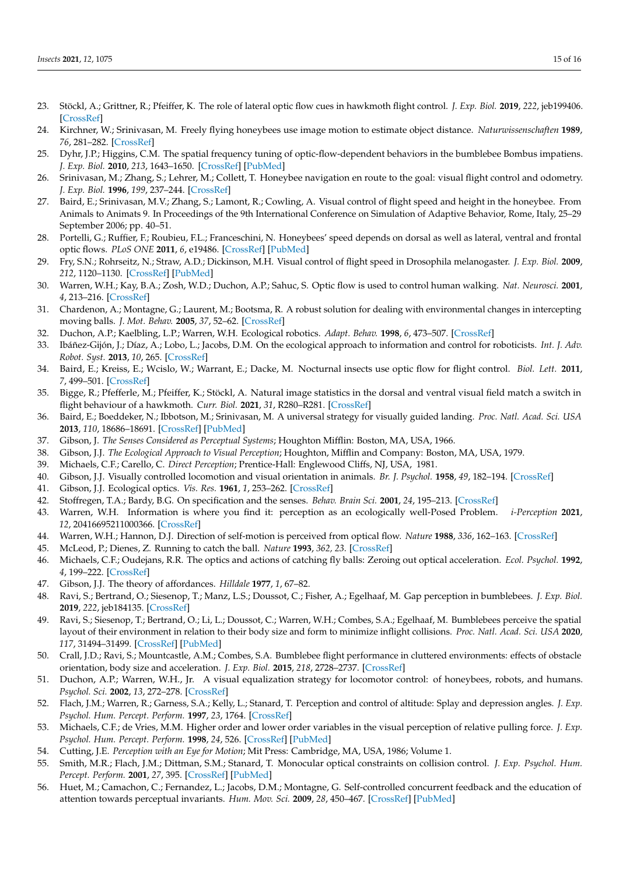- 23. Stöckl, A.; Grittner, R.; Pfeiffer, K. The role of lateral optic flow cues in hawkmoth flight control. *J. Exp. Biol.* **2019**, *222*, jeb199406. [\[CrossRef\]](http://dx.doi.org/10.1242/jeb.199406)
- 24. Kirchner, W.; Srinivasan, M. Freely flying honeybees use image motion to estimate object distance. *Naturwissenschaften* **1989**, *76*, 281–282. [\[CrossRef\]](http://dx.doi.org/10.1007/BF00368643)
- 25. Dyhr, J.P.; Higgins, C.M. The spatial frequency tuning of optic-flow-dependent behaviors in the bumblebee Bombus impatiens. *J. Exp. Biol.* **2010**, *213*, 1643–1650. [\[CrossRef\]](http://dx.doi.org/10.1242/jeb.041426) [\[PubMed\]](http://www.ncbi.nlm.nih.gov/pubmed/20435814)
- 26. Srinivasan, M.; Zhang, S.; Lehrer, M.; Collett, T. Honeybee navigation en route to the goal: visual flight control and odometry. *J. Exp. Biol.* **1996**, *199*, 237–244. [\[CrossRef\]](http://dx.doi.org/10.1242/jeb.199.1.237)
- 27. Baird, E.; Srinivasan, M.V.; Zhang, S.; Lamont, R.; Cowling, A. Visual control of flight speed and height in the honeybee. From Animals to Animats 9. In Proceedings of the 9th International Conference on Simulation of Adaptive Behavior, Rome, Italy, 25–29 September 2006; pp. 40–51.
- 28. Portelli, G.; Ruffier, F.; Roubieu, F.L.; Franceschini, N. Honeybees' speed depends on dorsal as well as lateral, ventral and frontal optic flows. *PLoS ONE* **2011**, *6*, e19486. [\[CrossRef\]](http://dx.doi.org/10.1371/journal.pone.0019486) [\[PubMed\]](http://www.ncbi.nlm.nih.gov/pubmed/21589861)
- 29. Fry, S.N.; Rohrseitz, N.; Straw, A.D.; Dickinson, M.H. Visual control of flight speed in Drosophila melanogaster. *J. Exp. Biol.* **2009**, *212*, 1120–1130. [\[CrossRef\]](http://dx.doi.org/10.1242/jeb.020768) [\[PubMed\]](http://www.ncbi.nlm.nih.gov/pubmed/19329746)
- 30. Warren, W.H.; Kay, B.A.; Zosh, W.D.; Duchon, A.P.; Sahuc, S. Optic flow is used to control human walking. *Nat. Neurosci.* **2001**, *4*, 213–216. [\[CrossRef\]](http://dx.doi.org/10.1038/84054)
- 31. Chardenon, A.; Montagne, G.; Laurent, M.; Bootsma, R. A robust solution for dealing with environmental changes in intercepting moving balls. *J. Mot. Behav.* **2005**, *37*, 52–62. [\[CrossRef\]](http://dx.doi.org/10.3200/JMBR.37.1.52-62)
- 32. Duchon, A.P.; Kaelbling, L.P.; Warren, W.H. Ecological robotics. *Adapt. Behav.* **1998**, *6*, 473–507. [\[CrossRef\]](http://dx.doi.org/10.1177/105971239800600306)
- 33. Ibáñez-Gijón, J.; Díaz, A.; Lobo, L.; Jacobs, D.M. On the ecological approach to information and control for roboticists. *Int. J. Adv. Robot. Syst.* **2013**, *10*, 265. [\[CrossRef\]](http://dx.doi.org/10.5772/55671)
- 34. Baird, E.; Kreiss, E.; Wcislo, W.; Warrant, E.; Dacke, M. Nocturnal insects use optic flow for flight control. *Biol. Lett.* **2011**, *7*, 499–501. [\[CrossRef\]](http://dx.doi.org/10.1098/rsbl.2010.1205)
- 35. Bigge, R.; Pfefferle, M.; Pfeiffer, K.; Stöckl, A. Natural image statistics in the dorsal and ventral visual field match a switch in flight behaviour of a hawkmoth. *Curr. Biol.* **2021**, *31*, R280–R281. [\[CrossRef\]](http://dx.doi.org/10.1016/j.cub.2021.02.022)
- 36. Baird, E.; Boeddeker, N.; Ibbotson, M.; Srinivasan, M. A universal strategy for visually guided landing. *Proc. Natl. Acad. Sci. USA* **2013**, *110*, 18686–18691. [\[CrossRef\]](http://dx.doi.org/10.1073/pnas.1314311110) [\[PubMed\]](http://www.ncbi.nlm.nih.gov/pubmed/24167269)
- 37. Gibson, J. *The Senses Considered as Perceptual Systems*; Houghton Mifflin: Boston, MA, USA, 1966.
- 38. Gibson, J.J. *The Ecological Approach to Visual Perception*; Houghton, Mifflin and Company: Boston, MA, USA, 1979.
- 39. Michaels, C.F.; Carello, C. *Direct Perception*; Prentice-Hall: Englewood Cliffs, NJ, USA, 1981.
- 40. Gibson, J.J. Visually controlled locomotion and visual orientation in animals. *Br. J. Psychol.* **1958**, *49*, 182–194. [\[CrossRef\]](http://dx.doi.org/10.1111/j.2044-8295.1958.tb00656.x)
- 41. Gibson, J.J. Ecological optics. *Vis. Res.* **1961**, *1*, 253–262. [\[CrossRef\]](http://dx.doi.org/10.1016/0042-6989(61)90005-0)
- 42. Stoffregen, T.A.; Bardy, B.G. On specification and the senses. *Behav. Brain Sci.* **2001**, *24*, 195–213. [\[CrossRef\]](http://dx.doi.org/10.1017/S0140525X01003946)
- 43. Warren, W.H. Information is where you find it: perception as an ecologically well-Posed Problem. *i-Perception* **2021**, *12*, 20416695211000366. [\[CrossRef\]](http://dx.doi.org/10.1177/20416695211000366)
- 44. Warren, W.H.; Hannon, D.J. Direction of self-motion is perceived from optical flow. *Nature* **1988**, *336*, 162–163. [\[CrossRef\]](http://dx.doi.org/10.1038/336162a0)
- 45. McLeod, P.; Dienes, Z. Running to catch the ball. *Nature* **1993**, *362, 23*. [\[CrossRef\]](http://dx.doi.org/10.1038/362023a0)
- 46. Michaels, C.F.; Oudejans, R.R. The optics and actions of catching fly balls: Zeroing out optical acceleration. *Ecol. Psychol.* **1992**, *4*, 199–222. [\[CrossRef\]](http://dx.doi.org/10.1207/s15326969eco0404_1)
- 47. Gibson, J.J. The theory of affordances. *Hilldale* **1977**, *1*, 67–82.
- 48. Ravi, S.; Bertrand, O.; Siesenop, T.; Manz, L.S.; Doussot, C.; Fisher, A.; Egelhaaf, M. Gap perception in bumblebees. *J. Exp. Biol.* **2019**, *222*, jeb184135. [\[CrossRef\]](http://dx.doi.org/10.1242/jeb.184135)
- 49. Ravi, S.; Siesenop, T.; Bertrand, O.; Li, L.; Doussot, C.; Warren, W.H.; Combes, S.A.; Egelhaaf, M. Bumblebees perceive the spatial layout of their environment in relation to their body size and form to minimize inflight collisions. *Proc. Natl. Acad. Sci. USA* **2020**, *117*, 31494–31499. [\[CrossRef\]](http://dx.doi.org/10.1073/pnas.2016872117) [\[PubMed\]](http://www.ncbi.nlm.nih.gov/pubmed/33229535)
- 50. Crall, J.D.; Ravi, S.; Mountcastle, A.M.; Combes, S.A. Bumblebee flight performance in cluttered environments: effects of obstacle orientation, body size and acceleration. *J. Exp. Biol.* **2015**, *218*, 2728–2737. [\[CrossRef\]](http://dx.doi.org/10.1242/jeb.121293)
- 51. Duchon, A.P.; Warren, W.H., Jr. A visual equalization strategy for locomotor control: of honeybees, robots, and humans. *Psychol. Sci.* **2002**, *13*, 272–278. [\[CrossRef\]](http://dx.doi.org/10.1111/1467-9280.00450)
- 52. Flach, J.M.; Warren, R.; Garness, S.A.; Kelly, L.; Stanard, T. Perception and control of altitude: Splay and depression angles. *J. Exp. Psychol. Hum. Percept. Perform.* **1997**, *23*, 1764. [\[CrossRef\]](http://dx.doi.org/10.1037/0096-1523.23.6.1764)
- 53. Michaels, C.F.; de Vries, M.M. Higher order and lower order variables in the visual perception of relative pulling force. *J. Exp. Psychol. Hum. Percept. Perform.* **1998**, *24*, 526. [\[CrossRef\]](http://dx.doi.org/10.1037/0096-1523.24.2.526) [\[PubMed\]](http://www.ncbi.nlm.nih.gov/pubmed/9554096)
- 54. Cutting, J.E. *Perception with an Eye for Motion*; Mit Press: Cambridge, MA, USA, 1986; Volume 1.
- 55. Smith, M.R.; Flach, J.M.; Dittman, S.M.; Stanard, T. Monocular optical constraints on collision control. *J. Exp. Psychol. Hum. Percept. Perform.* **2001**, *27*, 395. [\[CrossRef\]](http://dx.doi.org/10.1037/0096-1523.27.2.395) [\[PubMed\]](http://www.ncbi.nlm.nih.gov/pubmed/11318055)
- 56. Huet, M.; Camachon, C.; Fernandez, L.; Jacobs, D.M.; Montagne, G. Self-controlled concurrent feedback and the education of attention towards perceptual invariants. *Hum. Mov. Sci.* **2009**, *28*, 450–467. [\[CrossRef\]](http://dx.doi.org/10.1016/j.humov.2008.12.004) [\[PubMed\]](http://www.ncbi.nlm.nih.gov/pubmed/19394099)